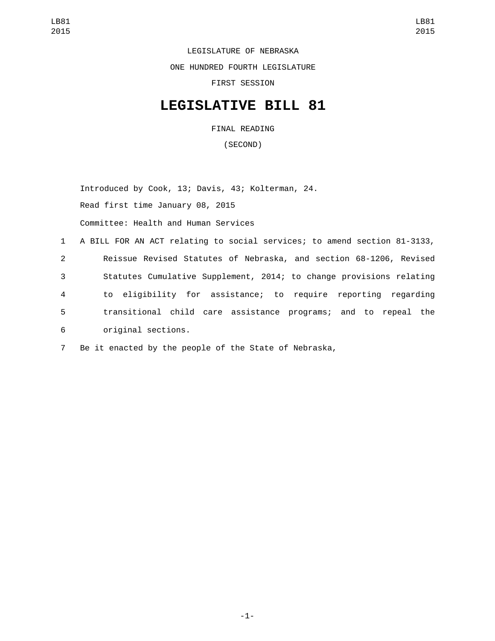LEGISLATURE OF NEBRASKA ONE HUNDRED FOURTH LEGISLATURE FIRST SESSION

## **LEGISLATIVE BILL 81**

FINAL READING

(SECOND)

Introduced by Cook, 13; Davis, 43; Kolterman, 24. Read first time January 08, 2015 Committee: Health and Human Services

 A BILL FOR AN ACT relating to social services; to amend section 81-3133, Reissue Revised Statutes of Nebraska, and section 68-1206, Revised Statutes Cumulative Supplement, 2014; to change provisions relating to eligibility for assistance; to require reporting regarding transitional child care assistance programs; and to repeal the original sections.6

7 Be it enacted by the people of the State of Nebraska,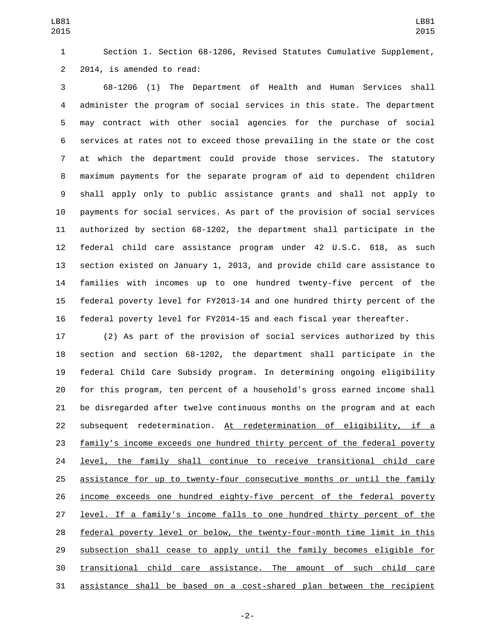Section 1. Section 68-1206, Revised Statutes Cumulative Supplement, 2 2014, is amended to read:

 68-1206 (1) The Department of Health and Human Services shall administer the program of social services in this state. The department may contract with other social agencies for the purchase of social services at rates not to exceed those prevailing in the state or the cost at which the department could provide those services. The statutory maximum payments for the separate program of aid to dependent children shall apply only to public assistance grants and shall not apply to payments for social services. As part of the provision of social services authorized by section 68-1202, the department shall participate in the federal child care assistance program under 42 U.S.C. 618, as such section existed on January 1, 2013, and provide child care assistance to families with incomes up to one hundred twenty-five percent of the federal poverty level for FY2013-14 and one hundred thirty percent of the federal poverty level for FY2014-15 and each fiscal year thereafter.

 (2) As part of the provision of social services authorized by this section and section 68-1202, the department shall participate in the federal Child Care Subsidy program. In determining ongoing eligibility for this program, ten percent of a household's gross earned income shall be disregarded after twelve continuous months on the program and at each subsequent redetermination. At redetermination of eligibility, if a family's income exceeds one hundred thirty percent of the federal poverty level, the family shall continue to receive transitional child care assistance for up to twenty-four consecutive months or until the family income exceeds one hundred eighty-five percent of the federal poverty level. If a family's income falls to one hundred thirty percent of the federal poverty level or below, the twenty-four-month time limit in this 29 subsection shall cease to apply until the family becomes eligible for transitional child care assistance. The amount of such child care assistance shall be based on a cost-shared plan between the recipient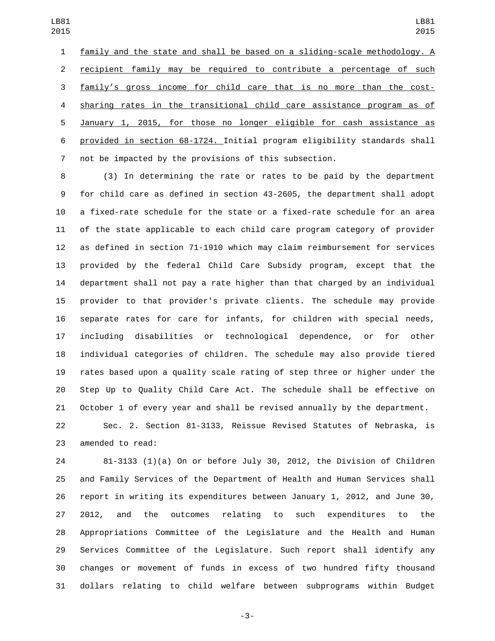family and the state and shall be based on a sliding-scale methodology. A recipient family may be required to contribute a percentage of such family's gross income for child care that is no more than the cost- sharing rates in the transitional child care assistance program as of January 1, 2015, for those no longer eligible for cash assistance as provided in section 68-1724. Initial program eligibility standards shall not be impacted by the provisions of this subsection.

 (3) In determining the rate or rates to be paid by the department for child care as defined in section 43-2605, the department shall adopt a fixed-rate schedule for the state or a fixed-rate schedule for an area of the state applicable to each child care program category of provider as defined in section 71-1910 which may claim reimbursement for services provided by the federal Child Care Subsidy program, except that the department shall not pay a rate higher than that charged by an individual provider to that provider's private clients. The schedule may provide separate rates for care for infants, for children with special needs, including disabilities or technological dependence, or for other individual categories of children. The schedule may also provide tiered rates based upon a quality scale rating of step three or higher under the Step Up to Quality Child Care Act. The schedule shall be effective on October 1 of every year and shall be revised annually by the department.

 Sec. 2. Section 81-3133, Reissue Revised Statutes of Nebraska, is 23 amended to read:

 81-3133 (1)(a) On or before July 30, 2012, the Division of Children and Family Services of the Department of Health and Human Services shall report in writing its expenditures between January 1, 2012, and June 30, 2012, and the outcomes relating to such expenditures to the Appropriations Committee of the Legislature and the Health and Human Services Committee of the Legislature. Such report shall identify any changes or movement of funds in excess of two hundred fifty thousand dollars relating to child welfare between subprograms within Budget

-3-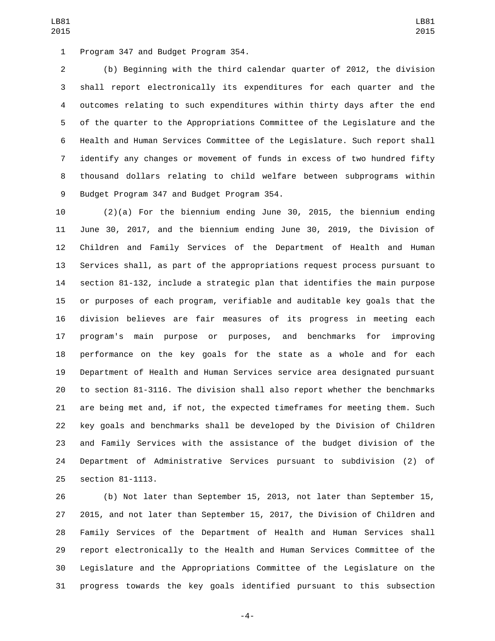1 Program 347 and Budget Program 354.

 (b) Beginning with the third calendar quarter of 2012, the division shall report electronically its expenditures for each quarter and the outcomes relating to such expenditures within thirty days after the end of the quarter to the Appropriations Committee of the Legislature and the Health and Human Services Committee of the Legislature. Such report shall identify any changes or movement of funds in excess of two hundred fifty thousand dollars relating to child welfare between subprograms within 9 Budget Program 347 and Budget Program 354.

 (2)(a) For the biennium ending June 30, 2015, the biennium ending June 30, 2017, and the biennium ending June 30, 2019, the Division of Children and Family Services of the Department of Health and Human Services shall, as part of the appropriations request process pursuant to section 81-132, include a strategic plan that identifies the main purpose or purposes of each program, verifiable and auditable key goals that the division believes are fair measures of its progress in meeting each program's main purpose or purposes, and benchmarks for improving performance on the key goals for the state as a whole and for each Department of Health and Human Services service area designated pursuant to section 81-3116. The division shall also report whether the benchmarks are being met and, if not, the expected timeframes for meeting them. Such key goals and benchmarks shall be developed by the Division of Children and Family Services with the assistance of the budget division of the Department of Administrative Services pursuant to subdivision (2) of 25 section 81-1113.

 (b) Not later than September 15, 2013, not later than September 15, 2015, and not later than September 15, 2017, the Division of Children and Family Services of the Department of Health and Human Services shall report electronically to the Health and Human Services Committee of the Legislature and the Appropriations Committee of the Legislature on the progress towards the key goals identified pursuant to this subsection

-4-